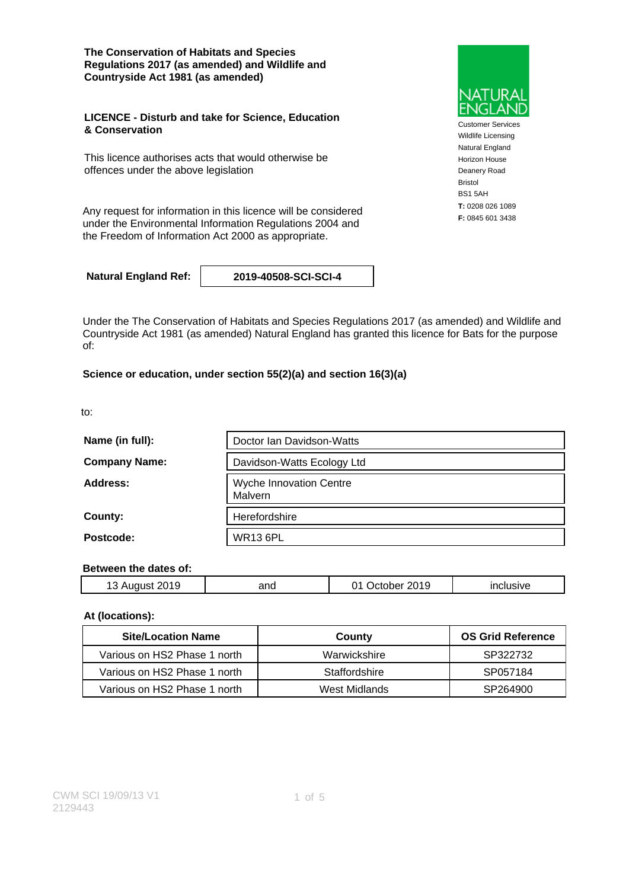**The Conservation of Habitats and Species Regulations 2017 (as amended) and Wildlife and Countryside Act 1981 (as amended)**

#### **LICENCE - Disturb and take for Science, Education & Conservation**

This licence authorises acts that would otherwise be offences under the above legislation

Any request for information in this licence will be considered under the Environmental Information Regulations 2004 and the Freedom of Information Act 2000 as appropriate.

**Natural England Ref: 2019-40508-SCI-SCI-4**

Under the The Conservation of Habitats and Species Regulations 2017 (as amended) and Wildlife and Countryside Act 1981 (as amended) Natural England has granted this licence for Bats for the purpose of:

#### **Science or education, under section 55(2)(a) and section 16(3)(a)**

to:

| Name (in full):      | Doctor Ian Davidson-Watts                 |  |  |
|----------------------|-------------------------------------------|--|--|
| <b>Company Name:</b> | Davidson-Watts Ecology Ltd                |  |  |
| Address:             | <b>Wyche Innovation Centre</b><br>Malvern |  |  |
| County:              | Herefordshire                             |  |  |
| Postcode:            | <b>WR13 6PL</b>                           |  |  |

#### **Between the dates of:**

| -<br>'019'<br>ּשׁ | and | 2019<br>דיו<br>าer | . |
|-------------------|-----|--------------------|---|
|                   |     |                    |   |

#### **At (locations):**

| <b>Site/Location Name</b>    | County        | <b>OS Grid Reference</b> |
|------------------------------|---------------|--------------------------|
| Various on HS2 Phase 1 north | Warwickshire  | SP322732                 |
| Various on HS2 Phase 1 north | Staffordshire | SP057184                 |
| Various on HS2 Phase 1 north | West Midlands | SP264900                 |



Customer Services Wildlife Licensing Natural England Horizon House Deanery Road Bristol BS1 5AH **T:** 0208 026 1089 **F:** 0845 601 3438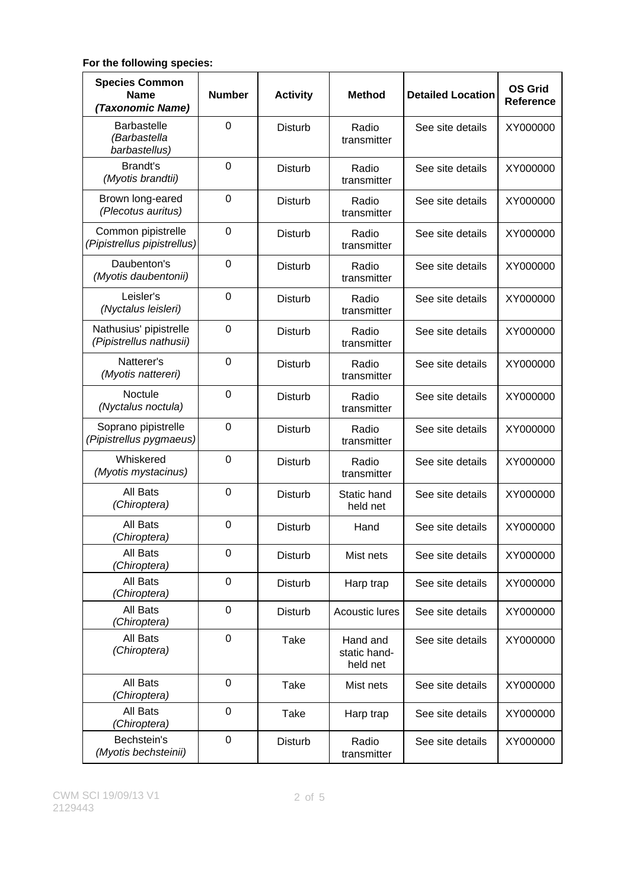### **For the following species:**

| <b>Species Common</b><br><b>Name</b><br>(Taxonomic Name) | <b>Number</b>    | <b>Activity</b> | <b>Method</b>                        | <b>Detailed Location</b> | <b>OS Grid</b><br><b>Reference</b> |
|----------------------------------------------------------|------------------|-----------------|--------------------------------------|--------------------------|------------------------------------|
| <b>Barbastelle</b><br>(Barbastella<br>barbastellus)      | $\overline{0}$   | <b>Disturb</b>  | Radio<br>transmitter                 | See site details         | XY000000                           |
| <b>Brandt's</b><br>(Myotis brandtii)                     | $\mathbf 0$      | <b>Disturb</b>  | Radio<br>transmitter                 | See site details         | XY000000                           |
| Brown long-eared<br>(Plecotus auritus)                   | 0                | <b>Disturb</b>  | Radio<br>transmitter                 | See site details         | XY000000                           |
| Common pipistrelle<br>(Pipistrellus pipistrellus)        | 0                | <b>Disturb</b>  | Radio<br>transmitter                 | See site details         | XY000000                           |
| Daubenton's<br>(Myotis daubentonii)                      | 0                | <b>Disturb</b>  | Radio<br>transmitter                 | See site details         | XY000000                           |
| Leisler's<br>(Nyctalus leisleri)                         | $\overline{0}$   | <b>Disturb</b>  | Radio<br>transmitter                 | See site details         | XY000000                           |
| Nathusius' pipistrelle<br>(Pipistrellus nathusii)        | $\mathbf 0$      | <b>Disturb</b>  | Radio<br>transmitter                 | See site details         | XY000000                           |
| Natterer's<br>(Myotis nattereri)                         | $\overline{0}$   | <b>Disturb</b>  | Radio<br>transmitter                 | See site details         | XY000000                           |
| <b>Noctule</b><br>(Nyctalus noctula)                     | $\mathbf 0$      | <b>Disturb</b>  | Radio<br>transmitter                 | See site details         | XY000000                           |
| Soprano pipistrelle<br>(Pipistrellus pygmaeus)           | 0                | <b>Disturb</b>  | Radio<br>transmitter                 | See site details         | XY000000                           |
| Whiskered<br>(Myotis mystacinus)                         | 0                | <b>Disturb</b>  | Radio<br>transmitter                 | See site details         | XY000000                           |
| All Bats<br>(Chiroptera)                                 | 0                | <b>Disturb</b>  | Static hand<br>held net              | See site details         | XY000000                           |
| All Bats<br>(Chiroptera)                                 | 0                | <b>Disturb</b>  | Hand                                 | See site details         | XY000000                           |
| All Bats<br>(Chiroptera)                                 | 0                | Disturb         | Mist nets                            | See site details         | XY000000                           |
| All Bats<br>(Chiroptera)                                 | 0                | <b>Disturb</b>  | Harp trap                            | See site details         | XY000000                           |
| All Bats<br>(Chiroptera)                                 | 0                | <b>Disturb</b>  | Acoustic lures                       | See site details         | XY000000                           |
| All Bats<br>(Chiroptera)                                 | $\mathbf 0$      | Take            | Hand and<br>static hand-<br>held net | See site details         | XY000000                           |
| All Bats<br>(Chiroptera)                                 | $\mathbf 0$      | Take            | Mist nets                            | See site details         | XY000000                           |
| All Bats<br>(Chiroptera)                                 | $\overline{0}$   | Take            | Harp trap                            | See site details         | XY000000                           |
| Bechstein's<br>(Myotis bechsteinii)                      | $\boldsymbol{0}$ | Disturb         | Radio<br>transmitter                 | See site details         | XY000000                           |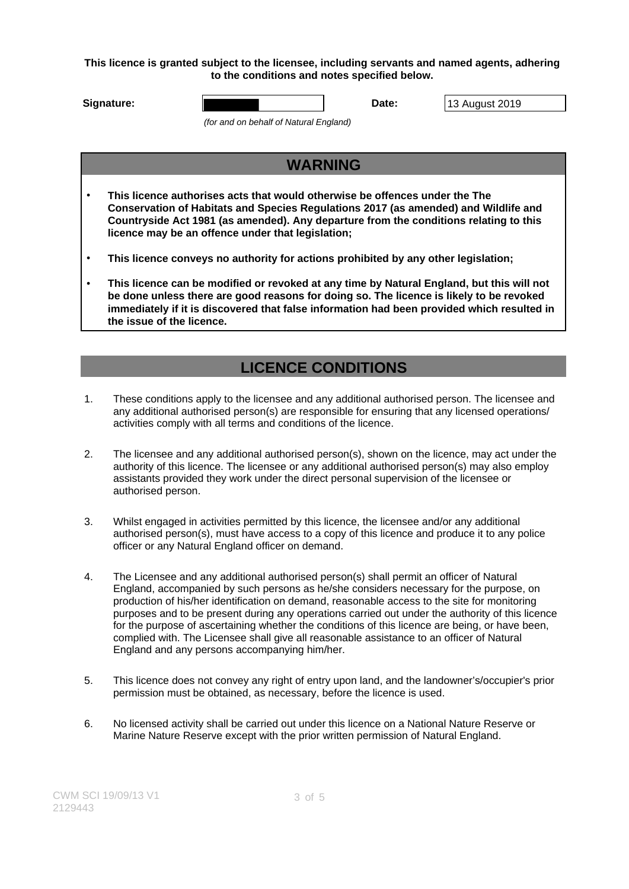**This licence is granted subject to the licensee, including servants and named agents, adhering to the conditions and notes specified below.**

**Signature: Date:** 13 August 2019

(for and on behalf of Natural England)

## **WARNING**

- **This licence authorises acts that would otherwise be offences under the The Conservation of Habitats and Species Regulations 2017 (as amended) and Wildlife and Countryside Act 1981 (as amended). Any departure from the conditions relating to this licence may be an offence under that legislation;**
- **This licence conveys no authority for actions prohibited by any other legislation;**
- **This licence can be modified or revoked at any time by Natural England, but this will not be done unless there are good reasons for doing so. The licence is likely to be revoked immediately if it is discovered that false information had been provided which resulted in the issue of the licence.**

# **LICENCE CONDITIONS**

- 1. These conditions apply to the licensee and any additional authorised person. The licensee and any additional authorised person(s) are responsible for ensuring that any licensed operations/ activities comply with all terms and conditions of the licence.
- 2. The licensee and any additional authorised person(s), shown on the licence, may act under the authority of this licence. The licensee or any additional authorised person(s) may also employ assistants provided they work under the direct personal supervision of the licensee or authorised person.
- 3. Whilst engaged in activities permitted by this licence, the licensee and/or any additional authorised person(s), must have access to a copy of this licence and produce it to any police officer or any Natural England officer on demand.
- 4. The Licensee and any additional authorised person(s) shall permit an officer of Natural England, accompanied by such persons as he/she considers necessary for the purpose, on production of his/her identification on demand, reasonable access to the site for monitoring purposes and to be present during any operations carried out under the authority of this licence for the purpose of ascertaining whether the conditions of this licence are being, or have been, complied with. The Licensee shall give all reasonable assistance to an officer of Natural England and any persons accompanying him/her.
- 5. This licence does not convey any right of entry upon land, and the landowner's/occupier's prior permission must be obtained, as necessary, before the licence is used.
- 6. No licensed activity shall be carried out under this licence on a National Nature Reserve or Marine Nature Reserve except with the prior written permission of Natural England.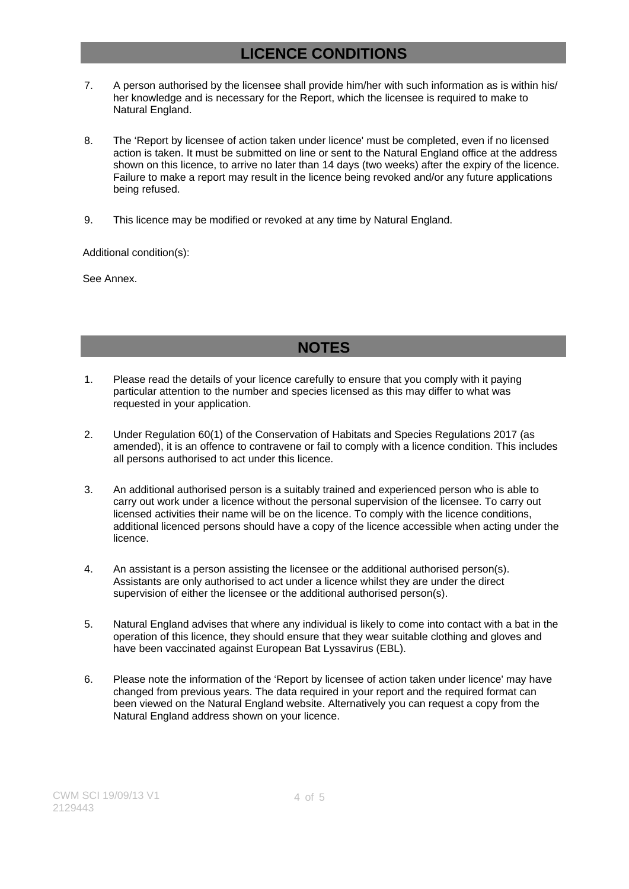## **LICENCE CONDITIONS**

- 7. A person authorised by the licensee shall provide him/her with such information as is within his/ her knowledge and is necessary for the Report, which the licensee is required to make to Natural England.
- 8. The 'Report by licensee of action taken under licence' must be completed, even if no licensed action is taken. It must be submitted on line or sent to the Natural England office at the address shown on this licence, to arrive no later than 14 days (two weeks) after the expiry of the licence. Failure to make a report may result in the licence being revoked and/or any future applications being refused.
- 9. This licence may be modified or revoked at any time by Natural England.

Additional condition(s):

See Annex.

### **NOTES**

- 1. Please read the details of your licence carefully to ensure that you comply with it paying particular attention to the number and species licensed as this may differ to what was requested in your application.
- 2. Under Regulation 60(1) of the Conservation of Habitats and Species Regulations 2017 (as amended), it is an offence to contravene or fail to comply with a licence condition. This includes all persons authorised to act under this licence.
- 3. An additional authorised person is a suitably trained and experienced person who is able to carry out work under a licence without the personal supervision of the licensee. To carry out licensed activities their name will be on the licence. To comply with the licence conditions, additional licenced persons should have a copy of the licence accessible when acting under the licence.
- 4. An assistant is a person assisting the licensee or the additional authorised person(s). Assistants are only authorised to act under a licence whilst they are under the direct supervision of either the licensee or the additional authorised person(s).
- 5. Natural England advises that where any individual is likely to come into contact with a bat in the operation of this licence, they should ensure that they wear suitable clothing and gloves and have been vaccinated against European Bat Lyssavirus (EBL).
- 6. Please note the information of the 'Report by licensee of action taken under licence' may have changed from previous years. The data required in your report and the required format can been viewed on the Natural England website. Alternatively you can request a copy from the Natural England address shown on your licence.